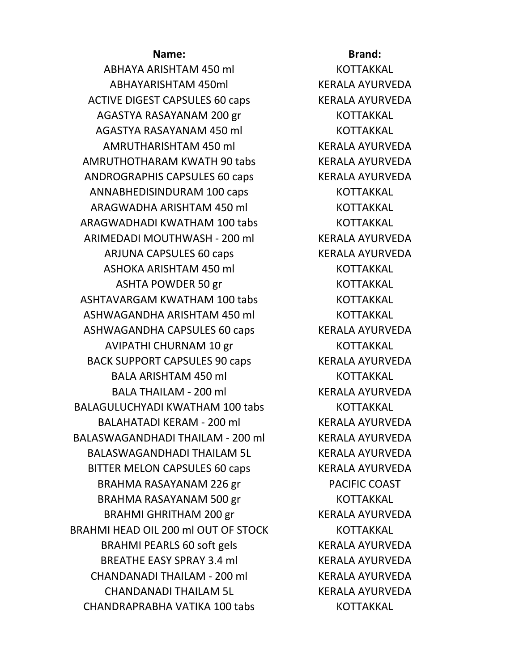ABHAYA ARISHTAM 450 ml KOTTAKKAL ABHAYARISHTAM 450ml KERALA AYURVEDA ACTIVE DIGEST CAPSULES 60 caps KERALA AYURVEDA AGASTYA RASAYANAM 200 gr KOTTAKKAL AGASTYA RASAYANAM 450 ml KOTTAKKAL AMRUTHARISHTAM 450 ml KERALA AYURVEDA AMRUTHOTHARAM KWATH 90 tabs KERALA AYURVEDA ANDROGRAPHIS CAPSULES 60 caps KERALA AYURVEDA ANNABHEDISINDURAM 100 caps KOTTAKKAL ARAGWADHA ARISHTAM 450 ml KOTTAKKAL ARAGWADHADI KWATHAM 100 tabs KOTTAKKAL ARIMEDADI MOUTHWASH - 200 ml KERALA AYURVEDA ARJUNA CAPSULES 60 caps KERALA AYURVEDA ASHOKA ARISHTAM 450 ml KOTTAKKAL ASHTA POWDER 50 gr KOTTAKKAL ASHTAVARGAM KWATHAM 100 tabs **KOTTAKKAL** ASHWAGANDHA ARISHTAM 450 ml KOTTAKKAL ASHWAGANDHA CAPSULES 60 caps KERALA AYURVEDA AVIPATHI CHURNAM 10 gr KOTTAKKAL BACK SUPPORT CAPSULES 90 caps KERALA AYURVEDA BALA ARISHTAM 450 ml KOTTAKKAL BALA THAILAM - 200 ml KERALA AYURVEDA BALAGULUCHYADI KWATHAM 100 tabs KOTTAKKAL BALAHATADI KERAM - 200 ml KERALA AYURVEDA BALASWAGANDHADI THAILAM - 200 ml KERALA AYURVEDA BALASWAGANDHADI THAILAM 5L KERALA AYURVEDA BITTER MELON CAPSULES 60 caps KERALA AYURVEDA BRAHMA RASAYANAM 226 gr PACIFIC COAST BRAHMA RASAYANAM 500 gr KOTTAKKAL BRAHMI GHRITHAM 200 gr KERALA AYURVEDA BRAHMI HEAD OIL 200 ml OUT OF STOCK KOTTAKKAL BRAHMI PEARLS 60 soft gels KERALA AYURVEDA BREATHE EASY SPRAY 3.4 ml KERALA AYURVEDA CHANDANADI THAILAM - 200 ml KERALA AYURVEDA CHANDANADI THAILAM 5L KERALA AYURVEDA CHANDRAPRABHA VATIKA 100 tabs KOTTAKKAL

## **Name: Brand: Brand:**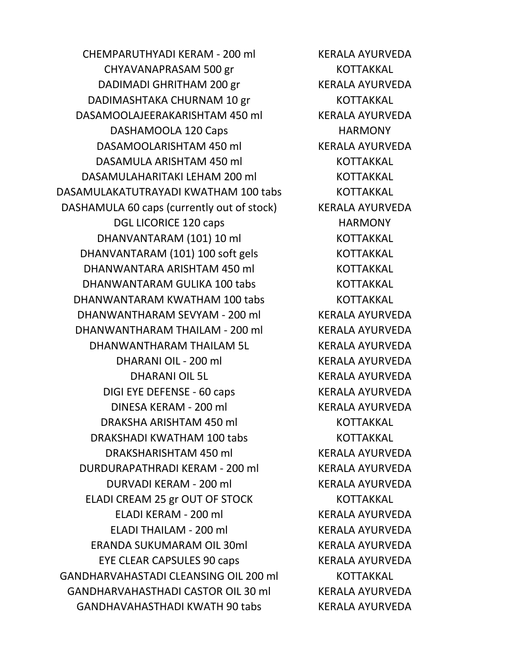CHEMPARUTHYADI KERAM - 200 ml KERALA AYURVEDA CHYAVANAPRASAM 500 gr KOTTAKKAL DADIMADI GHRITHAM 200 gr KERALA AYURVEDA DADIMASHTAKA CHURNAM 10 gr KOTTAKKAL DASAMOOLAJEERAKARISHTAM 450 ml KERALA AYURVEDA DASHAMOOLA 120 Caps HARMONY DASAMOOLARISHTAM 450 ml KERALA AYURVEDA DASAMULA ARISHTAM 450 ml KOTTAKKAL DASAMULAHARITAKI LEHAM 200 ml KOTTAKKAL DASAMULAKATUTRAYADI KWATHAM 100 tabs KOTTAKKAL DASHAMULA 60 caps (currently out of stock) KERALA AYURVEDA DGL LICORICE 120 caps HARMONY DHANVANTARAM (101) 10 ml KOTTAKKAL DHANVANTARAM (101) 100 soft gels KOTTAKKAL DHANWANTARA ARISHTAM 450 ml KOTTAKKAL DHANWANTARAM GULIKA 100 tabs KOTTAKKAL DHANWANTARAM KWATHAM 100 tabs KOTTAKKAL DHANWANTHARAM SEVYAM - 200 ml KERALA AYURVEDA DHANWANTHARAM THAILAM - 200 ml KERALA AYURVEDA DHANWANTHARAM THAILAM 5L KERALA AYURVEDA DHARANI OIL - 200 ml KERALA AYURVEDA DHARANI OIL 5L KERALA AYURVEDA DIGI EYE DEFENSE - 60 caps KERALA AYURVEDA DINESA KERAM - 200 ml KERALA AYURVEDA DRAKSHA ARISHTAM 450 ml KOTTAKKAL DRAKSHADI KWATHAM 100 tabs KOTTAKKAL DRAKSHARISHTAM 450 ml KERALA AYURVEDA DURDURAPATHRADI KERAM - 200 ml KERALA AYURVEDA DURVADI KERAM - 200 ml KERALA AYURVEDA ELADI CREAM 25 gr OUT OF STOCK KOTTAKKAL ELADI KERAM - 200 ml KERALA AYURVEDA ELADI THAILAM - 200 ml KERALA AYURVEDA ERANDA SUKUMARAM OIL 30ml KERALA AYURVEDA EYE CLEAR CAPSULES 90 caps KERALA AYURVEDA GANDHARVAHASTADI CLEANSING OIL 200 ml KOTTAKKAL GANDHARVAHASTHADI CASTOR OIL 30 ml KERALA AYURVEDA GANDHAVAHASTHADI KWATH 90 tabs KERALA AYURVEDA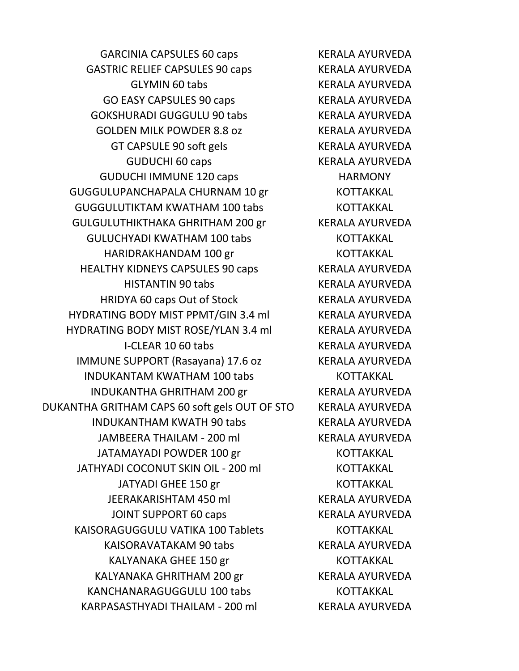GARCINIA CAPSULES 60 caps KERALA AYURVEDA GASTRIC RELIEF CAPSULES 90 caps KERALA AYURVEDA GLYMIN 60 tabs KERALA AYURVEDA GO EASY CAPSULES 90 caps KERALA AYURVEDA GOKSHURADI GUGGULU 90 tabs KERALA AYURVEDA GOLDEN MILK POWDER 8.8 oz KERALA AYURVEDA GT CAPSULE 90 soft gels KERALA AYURVEDA GUDUCHI 60 caps KERALA AYURVEDA GUDUCHI IMMUNE 120 caps HARMONY GUGGULUPANCHAPALA CHURNAM 10 gr KOTTAKKAL GUGGULUTIKTAM KWATHAM 100 tabs KOTTAKKAL GULGULUTHIKTHAKA GHRITHAM 200 gr KERALA AYURVEDA GULUCHYADI KWATHAM 100 tabs KOTTAKKAL HARIDRAKHANDAM 100 gr KOTTAKKAL HEALTHY KIDNEYS CAPSULES 90 caps KERALA AYURVEDA HISTANTIN 90 tabs KERALA AYURVEDA HRIDYA 60 caps Out of Stock KERALA AYURVEDA HYDRATING BODY MIST PPMT/GIN 3.4 ml KERALA AYURVEDA HYDRATING BODY MIST ROSE/YLAN 3.4 ml KERALA AYURVEDA I-CLEAR 10 60 tabs KERALA AYURVEDA IMMUNE SUPPORT (Rasayana) 17.6 oz KERALA AYURVEDA INDUKANTAM KWATHAM 100 tabs KOTTAKKAL INDUKANTHA GHRITHAM 200 gr KERALA AYURVEDA DUKANTHA GRITHAM CAPS 60 soft gels OUT OF STO KERALA AYURVEDA INDUKANTHAM KWATH 90 tabs KERALA AYURVEDA JAMBEERA THAILAM - 200 ml KERALA AYURVEDA JATAMAYADI POWDER 100 gr KOTTAKKAL JATHYADI COCONUT SKIN OIL - 200 ml KOTTAKKAL JATYADI GHEE 150 gr KOTTAKKAL JEERAKARISHTAM 450 ml KERALA AYURVEDA JOINT SUPPORT 60 caps KERALA AYURVEDA KAISORAGUGGULU VATIKA 100 Tablets KOTTAKKAL KAISORAVATAKAM 90 tabs KERALA AYURVEDA KALYANAKA GHEE 150 gr KOTTAKKAL KALYANAKA GHRITHAM 200 gr KERALA AYURVEDA KANCHANARAGUGGULU 100 tabs KOTTAKKAL KARPASASTHYADI THAILAM - 200 ml KERALA AYURVEDA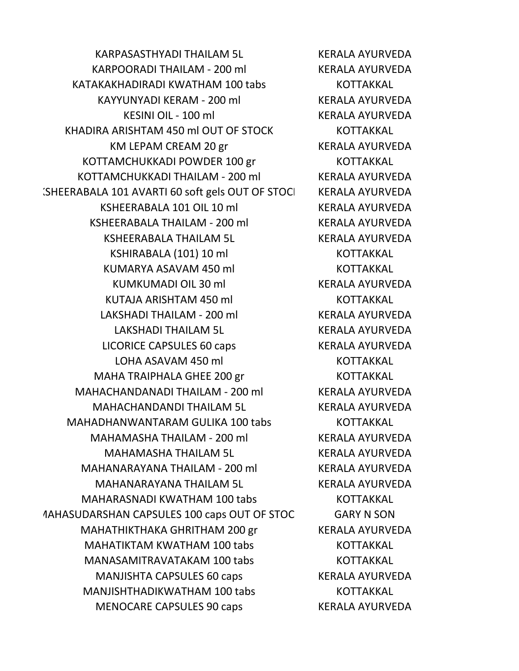KARPASASTHYADI THAILAM 5L KERALA AYURVEDA KARPOORADI THAILAM - 200 ml KERALA AYURVEDA KATAKAKHADIRADI KWATHAM 100 tabs KOTTAKKAL KAYYUNYADI KERAM - 200 ml KERALA AYURVEDA KESINI OIL - 100 ml KERALA AYURVEDA KHADIRA ARISHTAM 450 ml OUT OF STOCK KOTTAKKAL KM LEPAM CREAM 20 gr KERALA AYURVEDA KOTTAMCHUKKADI POWDER 100 gr KOTTAKKAL KOTTAMCHUKKADI THAILAM - 200 ml KERALA AYURVEDA (SHEERABALA 101 AVARTI 60 soft gels OUT OF STOCI KERALA AYURVEDA KSHEERABALA 101 OIL 10 ml KERALA AYURVEDA KSHEERABALA THAILAM - 200 ml KERALA AYURVEDA KSHEERABALA THAILAM 5L KERALA AYURVEDA KSHIRABALA (101) 10 ml KOTTAKKAL KUMARYA ASAVAM 450 ml KOTTAKKAL KUMKUMADI OIL 30 ml KERALA AYURVEDA KUTAJA ARISHTAM 450 ml KOTTAKKAL LAKSHADI THAILAM - 200 ml KERALA AYURVEDA LAKSHADI THAILAM 5L KERALA AYURVEDA LICORICE CAPSULES 60 caps KERALA AYURVEDA LOHA ASAVAM 450 ml KOTTAKKAL MAHA TRAIPHALA GHEE 200 gr<br>KOTTAKKAL MAHACHANDANADI THAILAM - 200 ml KERALA AYURVEDA MAHACHANDANDI THAILAM 5L KERALA AYURVEDA MAHADHANWANTARAM GULIKA 100 tabs KOTTAKKAL MAHAMASHA THAILAM - 200 ml KERALA AYURVEDA MAHAMASHA THAILAM 5L KERALA AYURVEDA MAHANARAYANA THAILAM - 200 ml KERALA AYURVEDA MAHANARAYANA THAILAM 5L KERALA AYURVEDA MAHARASNADI KWATHAM 100 tabs KOTTAKKAL MAHASUDARSHAN CAPSULES 100 caps OUT OF STOCK GARY N SON MAHATHIKTHAKA GHRITHAM 200 gr KERALA AYURVEDA MAHATIKTAM KWATHAM 100 tabs KOTTAKKAL MANASAMITRAVATAKAM 100 tabs KOTTAKKAL MANJISHTA CAPSULES 60 caps KERALA AYURVEDA MANJISHTHADIKWATHAM 100 tabs KOTTAKKAL MENOCARE CAPSULES 90 caps KERALA AYURVEDA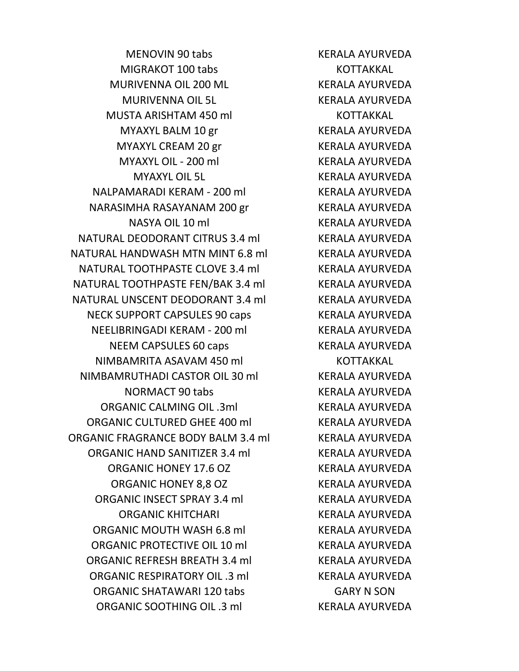MENOVIN 90 tabs KERALA AYURVEDA MIGRAKOT 100 tabs KOTTAKKAL MURIVENNA OIL 200 ML KERALA AYURVEDA MURIVENNA OIL 5L KERALA AYURVEDA MUSTA ARISHTAM 450 ml KOTTAKKAL MYAXYL BALM 10 gr KERALA AYURVEDA MYAXYL CREAM 20 gr KERALA AYURVEDA MYAXYL OIL - 200 ml KERALA AYURVEDA MYAXYL OIL 5L KERALA AYURVEDA NALPAMARADI KERAM - 200 ml KERALA AYURVEDA NARASIMHA RASAYANAM 200 gr KERALA AYURVEDA NASYA OIL 10 ml KERALA AYURVEDA NATURAL DEODORANT CITRUS 3.4 ml KERALA AYURVEDA NATURAL HANDWASH MTN MINT 6.8 ml KERALA AYURVEDA NATURAL TOOTHPASTE CLOVE 3.4 ml KERALA AYURVEDA NATURAL TOOTHPASTE FEN/BAK 3.4 ml KERALA AYURVEDA NATURAL UNSCENT DEODORANT 3.4 ml KERALA AYURVEDA NECK SUPPORT CAPSULES 90 caps The RERALA AYURVEDA NEELIBRINGADI KERAM - 200 ml KERALA AYURVEDA NEEM CAPSULES 60 caps KERALA AYURVEDA NIMBAMRITA ASAVAM 450 ml KOTTAKKAL NIMBAMRUTHADI CASTOR OIL 30 ml KERALA AYURVEDA NORMACT 90 tabs KERALA AYURVEDA ORGANIC CALMING OIL .3ml KERALA AYURVEDA ORGANIC CULTURED GHEE 400 ml KERALA AYURVEDA ORGANIC FRAGRANCE BODY BALM 3.4 ml KERALA AYURVEDA ORGANIC HAND SANITIZER 3.4 ml KERALA AYURVEDA ORGANIC HONEY 17.6 OZ KERALA AYURVEDA ORGANIC HONEY 8,8 OZ KERALA AYURVEDA ORGANIC INSECT SPRAY 3.4 ml KERALA AYURVEDA ORGANIC KHITCHARI KERALA AYURVEDA ORGANIC MOUTH WASH 6.8 ml KERALA AYURVEDA ORGANIC PROTECTIVE OIL 10 ml KERALA AYURVEDA ORGANIC REFRESH BREATH 3.4 ml KERALA AYURVEDA ORGANIC RESPIRATORY OIL .3 ml KERALA AYURVEDA ORGANIC SHATAWARI 120 tabs GARY N SON ORGANIC SOOTHING OIL .3 ml KERALA AYURVEDA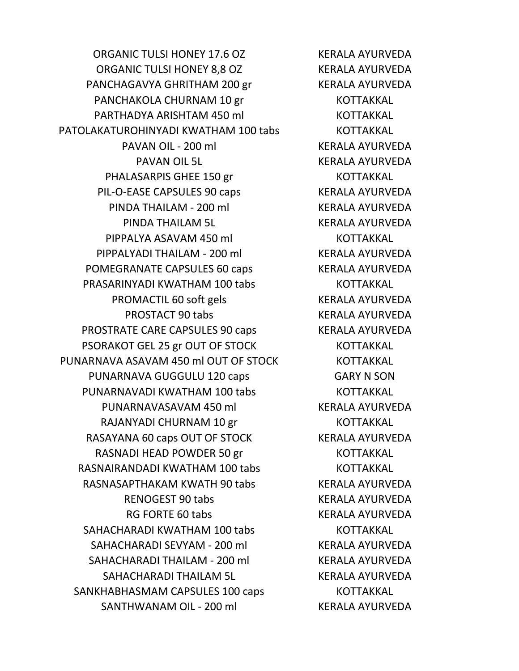ORGANIC TULSI HONEY 17.6 OZ KERALA AYURVEDA ORGANIC TULSI HONEY 8,8 OZ KERALA AYURVEDA PANCHAGAVYA GHRITHAM 200 gr KERALA AYURVEDA PANCHAKOLA CHURNAM 10 gr<br>KOTTAKKAL PARTHADYA ARISHTAM 450 ml KOTTAKKAL PATOLAKATUROHINYADI KWATHAM 100 tabs KOTTAKKAL PAVAN OIL - 200 ml PAVAN OIL 5L KERALA AYURVEDA PHALASARPIS GHEE 150 gr KOTTAKKAL PIL-O-EASE CAPSULES 90 caps KERALA AYURVEDA PINDA THAILAM - 200 ml KERALA AYURVEDA PINDA THAILAM 5L KERALA AYURVEDA PIPPALYA ASAVAM 450 ml KOTTAKKAL PIPPALYADI THAILAM - 200 ml KERALA AYURVEDA POMEGRANATE CAPSULES 60 caps KERALA AYURVEDA PRASARINYADI KWATHAM 100 tabs KOTTAKKAL PROMACTIL 60 soft gels KERALA AYURVEDA PROSTACT 90 tabs KERALA AYURVEDA PROSTRATE CARE CAPSULES 90 caps KERALA AYURVEDA PSORAKOT GEL 25 gr OUT OF STOCK KOTTAKKAL PUNARNAVA ASAVAM 450 ml OUT OF STOCK KOTTAKKAL PUNARNAVA GUGGULU 120 caps GARY N SON PUNARNAVADI KWATHAM 100 tabs KOTTAKKAL PUNARNAVASAVAM 450 ml KERALA AYURVEDA RAJANYADI CHURNAM 10 gr KOTTAKKAL RASAYANA 60 caps OUT OF STOCK KERALA AYURVEDA RASNADI HEAD POWDER 50 gr KOTTAKKAL RASNAIRANDADI KWATHAM 100 tabs KOTTAKKAL RASNASAPTHAKAM KWATH 90 tabs KERALA AYURVEDA RENOGEST 90 tabs KERALA AYURVEDA RG FORTE 60 tabs KERALA AYURVEDA SAHACHARADI KWATHAM 100 tabs KOTTAKKAL SAHACHARADI SEVYAM - 200 ml KERALA AYURVEDA SAHACHARADI THAILAM - 200 ml KERALA AYURVEDA SAHACHARADI THAILAM 5L KERALA AYURVEDA SANKHABHASMAM CAPSULES 100 caps KOTTAKKAL SANTHWANAM OIL - 200 ml KERALA AYURVEDA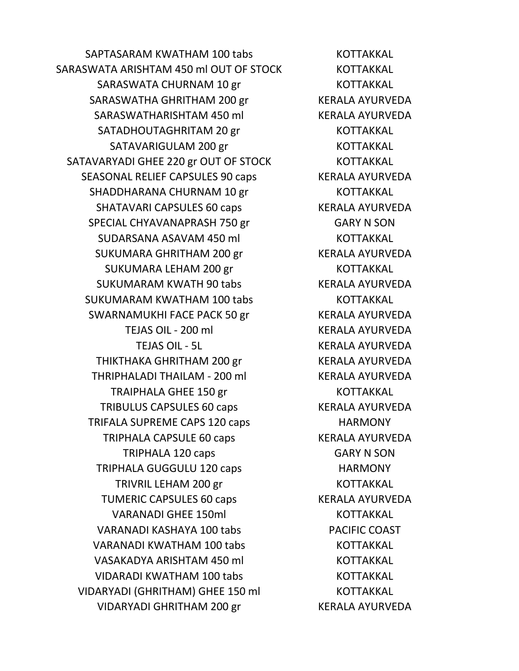SAPTASARAM KWATHAM 100 tabs KOTTAKKAL SARASWATA ARISHTAM 450 ml OUT OF STOCK KOTTAKKAL SARASWATA CHURNAM 10 gr KOTTAKKAL SARASWATHA GHRITHAM 200 gr KERALA AYURVEDA SARASWATHARISHTAM 450 ml KERALA AYURVEDA SATADHOUTAGHRITAM 20 gr KOTTAKKAL SATAVARIGULAM 200 gr KOTTAKKAL SATAVARYADI GHEE 220 gr OUT OF STOCK KOTTAKKAL SEASONAL RELIEF CAPSULES 90 caps KERALA AYURVEDA SHADDHARANA CHURNAM 10 gr KOTTAKKAL SHATAVARI CAPSULES 60 caps KERALA AYURVEDA SPECIAL CHYAVANAPRASH 750 gr GARY N SON SUDARSANA ASAVAM 450 ml KOTTAKKAL SUKUMARA GHRITHAM 200 gr KERALA AYURVEDA SUKUMARA LEHAM 200 gr KOTTAKKAL SUKUMARAM KWATH 90 tabs KERALA AYURVEDA SUKUMARAM KWATHAM 100 tabs KOTTAKKAL SWARNAMUKHI FACE PACK 50 gr KERALA AYURVEDA TEJAS OIL - 200 ml KERALA AYURVEDA TEJAS OIL - 5L KERALA AYURVEDA THIKTHAKA GHRITHAM 200 gr KERALA AYURVEDA THRIPHALADI THAILAM - 200 ml KERALA AYURVEDA TRAIPHALA GHEE 150 gr KOTTAKKAL TRIBULUS CAPSULES 60 caps KERALA AYURVEDA TRIFALA SUPREME CAPS 120 caps HARMONY TRIPHALA CAPSULE 60 caps KERALA AYURVEDA TRIPHALA 120 caps GARY N SON TRIPHALA GUGGULU 120 caps HARMONY TRIVRIL LEHAM 200 gr KOTTAKKAL TUMERIC CAPSULES 60 caps KERALA AYURVEDA VARANADI GHEE 150ml KOTTAKKAL VARANADI KASHAYA 100 tabs PACIFIC COAST VARANADI KWATHAM 100 tabs KOTTAKKAL VASAKADYA ARISHTAM 450 ml KOTTAKKAL VIDARADI KWATHAM 100 tabs KOTTAKKAL VIDARYADI (GHRITHAM) GHEE 150 ml KOTTAKKAL VIDARYADI GHRITHAM 200 gr KERALA AYURVEDA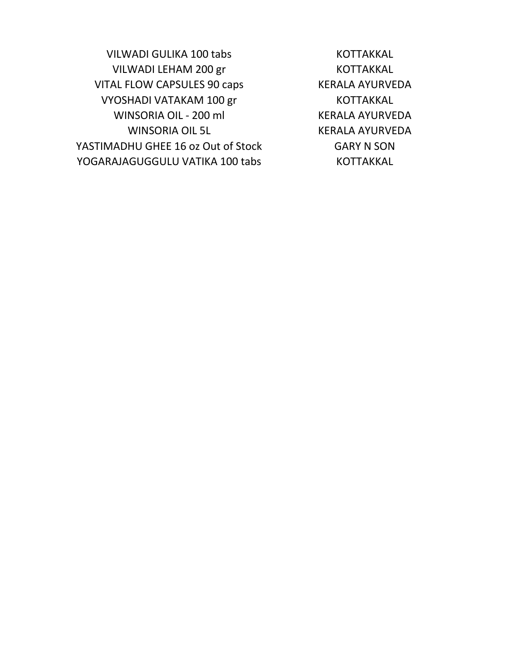VILWADI GULIKA 100 tabs KOTTAKKAL VILWADI LEHAM 200 gr KOTTAKKAL VITAL FLOW CAPSULES 90 caps KERALA AYURVEDA VYOSHADI VATAKAM 100 gr KOTTAKKAL WINSORIA OIL - 200 ml KERALA AYURVEDA WINSORIA OIL 5L KERALA AYURVEDA YASTIMADHU GHEE 16 oz Out of Stock GARY N SON YOGARAJAGUGGULU VATIKA 100 tabs KOTTAKKAL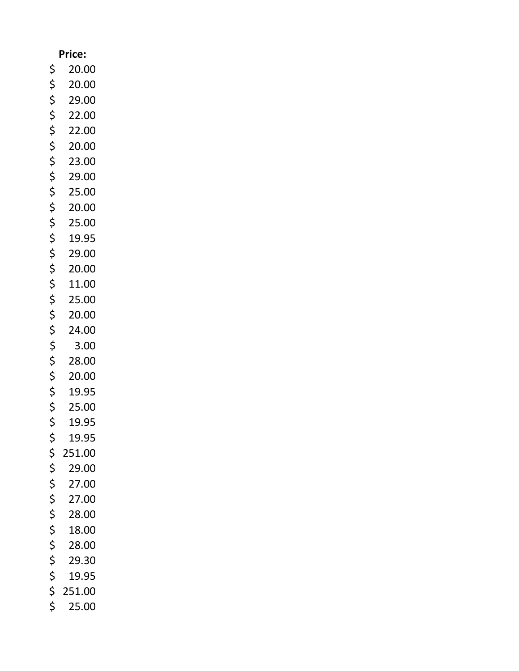## **Price:**

- \$ 20.00
- \$ 20.00
- $$ 29.00$ <br> $$ 22.00$
- \$ 22.00
- $$ 22.00$ <br> $$ 20.00$ <br> $$ 23.00$
- \$ 20.00
- 
- $$ 23.00$ <br> $$ 29.00$  $$ 29.00$ <br> $$ 25.00$
- 
- $$ 25.00$ <br> $$ 20.00$  $$ 20.00$ <br> $$ 25.00$
- \$ 25.00
- 
- $$ 19.95$ <br> $$ 29.00$ <br> $$ 20.00$ \$ 29.00
- 
- $$ 20.00$ <br> $$ 11.00$
- $$ 11.00$ <br> $$ 25.00$
- $$ 25.00$ <br> $$ 20.00$
- $$ 20.00$ <br> $$ 24.00$
- $$ 24.00$ <br> $$ 3.00$
- \$ 28.00
- $$3.00$ <br> $$28.00$ <br> $$20.00$
- $$ 20.00$ <br> $$ 19.95$
- $$ 19.95$ <br> $$ 25.00$
- $$ 25.00$ <br> $$ 19.95$
- $$ 19.95$ <br> $$ 19.95$ \$ 19.95
- 
- $$251.00$ <br> $$29.00$
- $$ 29.00$ <br> $$ 27.00$
- $$ 27.00$ <br> $$ 27.00$
- $$ 27.00$ <br> $$ 28.00$
- $$ 28.00$ <br> $$ 18.00$
- $$ 18.00$ <br> $$ 28.00$
- $$ 28.00$ <br> $$ 29.30$
- $$ 29.30$ <br> $$ 19.95$ \$ 19.95
- \$ 251.00
- \$ 25.00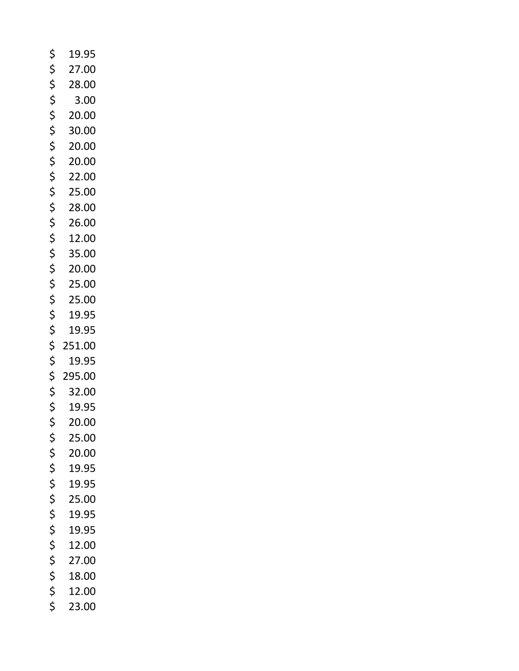| \$       | 19.95  |
|----------|--------|
| \$       | 27.00  |
| \$       | 28.00  |
| \$       | 3.00   |
| \$       | 20.00  |
| \$       | 30.00  |
| \$       | 20.00  |
| \$       | 20.00  |
| \$       | 22.00  |
| \$       | 25.00  |
| \$       | 28.00  |
| \$       | 26.00  |
| \$       | 12.00  |
| \$       | 35.00  |
| \$       | 20.00  |
| \$       | 25.00  |
| \$       | 25.00  |
| \$       | 19.95  |
| \$       | 19.95  |
| \$       | 251.00 |
| \$       | 19.95  |
| \$       | 295.00 |
| \$       | 32.00  |
| \$       | 19.95  |
| \$       | 20.00  |
| \$       | 25.00  |
| \$       | 20.00  |
| \$       | 19.95  |
| \$       | 19.95  |
| \$       | 25.00  |
| \$       | 19.95  |
| \$       | 19.95  |
| \$       | 12.00  |
| \$       | 27.00  |
|          |        |
| \$       | 18.00  |
| \$<br>\$ | 12.00  |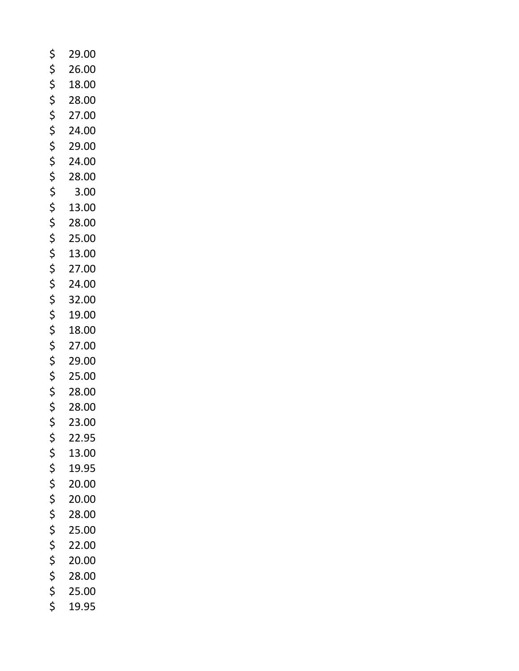| \$<br>29.00 |
|-------------|
| \$<br>26.00 |
| \$<br>18.00 |
| \$<br>28.00 |
| \$<br>27.00 |
| \$<br>24.00 |
| \$<br>29.00 |
| \$<br>24.00 |
| \$<br>28.00 |
| \$<br>3.00  |
| \$<br>13.00 |
| \$<br>28.00 |
| \$<br>25.00 |
| \$<br>13.00 |
| \$<br>27.00 |
| \$<br>24.00 |
| \$<br>32.00 |
| \$<br>19.00 |
| \$<br>18.00 |
| \$<br>27.00 |
| \$<br>29.00 |
| \$<br>25.00 |
| \$<br>28.00 |
| \$<br>28.00 |
| \$<br>23.00 |
| \$<br>22.95 |
| \$<br>13.00 |
| \$<br>19.95 |
| \$<br>20.00 |
| \$<br>20.00 |
| \$<br>28.00 |
| \$<br>25.00 |
| \$<br>22.00 |
| \$<br>20.00 |
| \$<br>28.00 |
| \$<br>25.00 |
| \$<br>19.95 |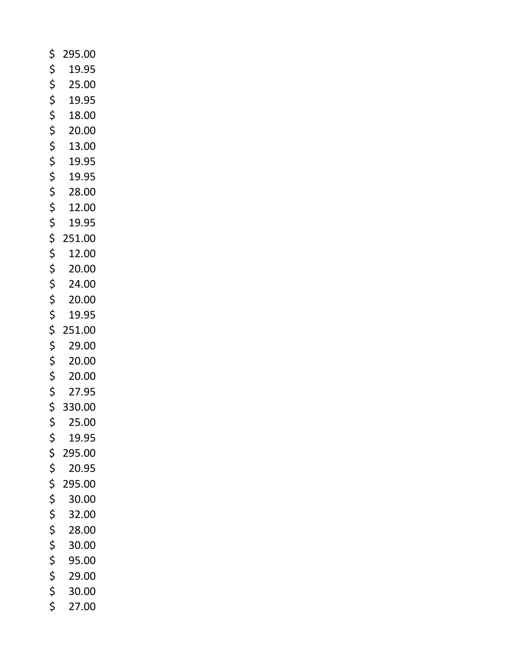- \$ 295.00 \$ 19.95  $$ 25.00$ <br> $$ 19.95$ 19.95  $$ 18.00$ <br> $$ 20.00$ <br> $$ 13.00$ <br> $$ 19.95$ \$ 20.00 \$ 13.00  $$ 19.95$ <br> $$ 19.95$  $$ 19.95$ <br> $$ 28.00$  $$ 28.00$ <br> $$ 12.00$  $$ 12.00$ <br> $$ 19.95$ 19.95  $$251.00$ <br> $$12.00$  $$ 12.00$ <br> $$ 20.00$  $$ 20.00$ <br> $$ 24.00$  $$ 24.00$ <br> $$ 20.00$  $$ 20.00$ <br> $$ 19.95$ \$ 19.95  $$ 251.00$ <br> $$ 29.00$ \$ 29.00  $$ 20.00$ <br> $$ 20.00$  $$ 20.00$ <br> $$ 27.95$ \$ 27.95  $$330.00$ <br> $$25.00$  $$ 25.00$ <br> $$ 19.95$ 19.95 \$ 295.00 \$ 20.95  $$ 295.00$ <br> $$ 30.00$ \$ 30.00  $$32.00$ <br> $$28.00$  $$ 28.00$ <br> $$ 30.00$  $$30.00$ <br> $$95.00$  $$ 95.00$ <br> $$ 29.00$ <br> $$ 30.00$ <br> $$ 27.00$ \$ 29.00 \$ 30.00
	- \$ 27.00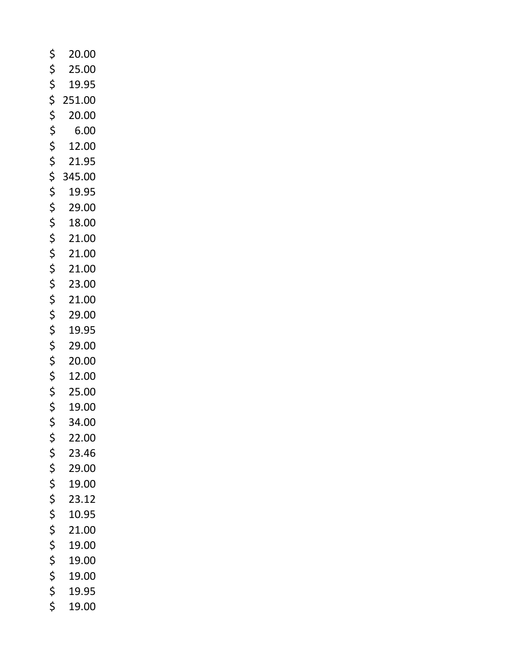| \$<br>20.00  |
|--------------|
| \$<br>25.00  |
| \$<br>19.95  |
| \$<br>251.00 |
| \$<br>20.00  |
| \$<br>6.00   |
| \$<br>12.00  |
| \$<br>21.95  |
| \$<br>345.00 |
| \$<br>19.95  |
| \$<br>29.00  |
| \$<br>18.00  |
| \$<br>21.00  |
| \$<br>21.00  |
| \$<br>21.00  |
| \$<br>23.00  |
| \$<br>21.00  |
| \$<br>29.00  |
| \$<br>19.95  |
| \$<br>29.00  |
| \$<br>20.00  |
| \$<br>12.00  |
| \$<br>25.00  |
| \$<br>19.00  |
| \$<br>34.00  |
| \$<br>22.00  |
| \$<br>23.46  |
| \$<br>29.00  |
| \$<br>19.00  |
| \$<br>23.12  |
| \$<br>10.95  |
| \$<br>21.00  |
| \$<br>19.00  |
| \$<br>19.00  |
| \$<br>19.00  |
| \$<br>19.95  |
| \$<br>19.00  |
|              |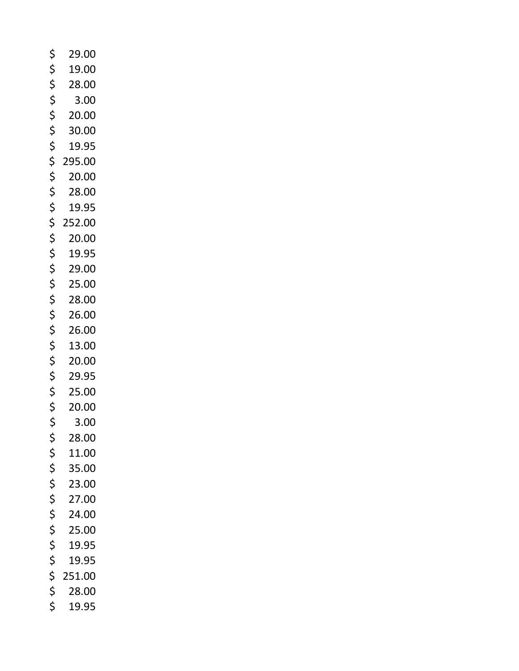| \$<br>29.00  |
|--------------|
| \$<br>19.00  |
| \$<br>28.00  |
| \$<br>3.00   |
| \$<br>20.00  |
| \$<br>30.00  |
| \$<br>19.95  |
| \$<br>295.00 |
| \$<br>20.00  |
| \$<br>28.00  |
| \$<br>19.95  |
| \$<br>252.00 |
| \$<br>20.00  |
| \$<br>19.95  |
| \$<br>29.00  |
| \$<br>25.00  |
| \$<br>28.00  |
| \$<br>26.00  |
| \$<br>26.00  |
| \$<br>13.00  |
| \$<br>20.00  |
| \$<br>29.95  |
| \$<br>25.00  |
| \$<br>20.00  |
| \$<br>3.00   |
| \$<br>28.00  |
| \$<br>11.00  |
| \$<br>35.00  |
| \$<br>23.00  |
| \$<br>27.00  |
| \$<br>24.00  |
| \$<br>25.00  |
| \$<br>19.95  |
| \$<br>19.95  |
| \$<br>251.00 |
| \$<br>28.00  |
| \$<br>19.95  |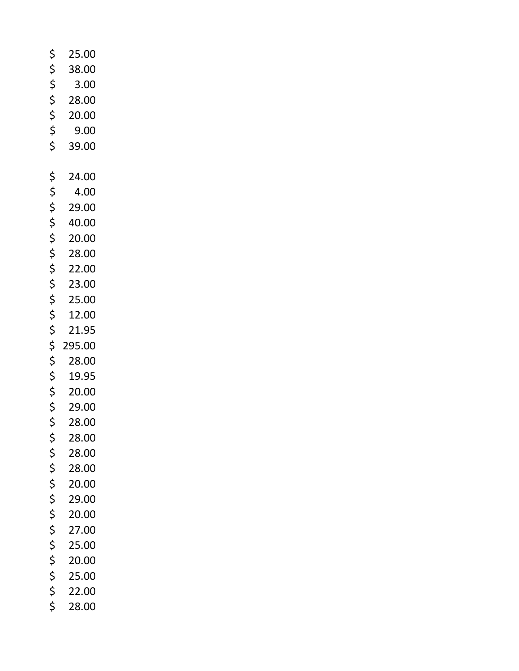| \$<br>25.00  |
|--------------|
| \$<br>38.00  |
| \$<br>3.00   |
| \$<br>28.00  |
| \$<br>20.00  |
| \$<br>9.00   |
| \$<br>39.00  |
|              |
| \$<br>24.00  |
| \$<br>4.00   |
| \$<br>29.00  |
| \$<br>40.00  |
| \$<br>20.00  |
| \$<br>28.00  |
| \$<br>22.00  |
| \$<br>23.00  |
| \$<br>25.00  |
| \$<br>12.00  |
| \$<br>21.95  |
| \$<br>295.00 |
| \$<br>28.00  |
| \$<br>19.95  |
| \$<br>20.00  |
| \$<br>29.00  |
| \$<br>28.00  |
| \$<br>28.00  |
| \$<br>28.00  |
| \$<br>28.00  |
| \$<br>20.00  |
| \$<br>29.00  |
| \$<br>20.00  |
| \$<br>27.00  |
| \$<br>25.00  |
| \$<br>20.00  |
| \$<br>25.00  |
| \$<br>22.00  |
| \$<br>28.00  |